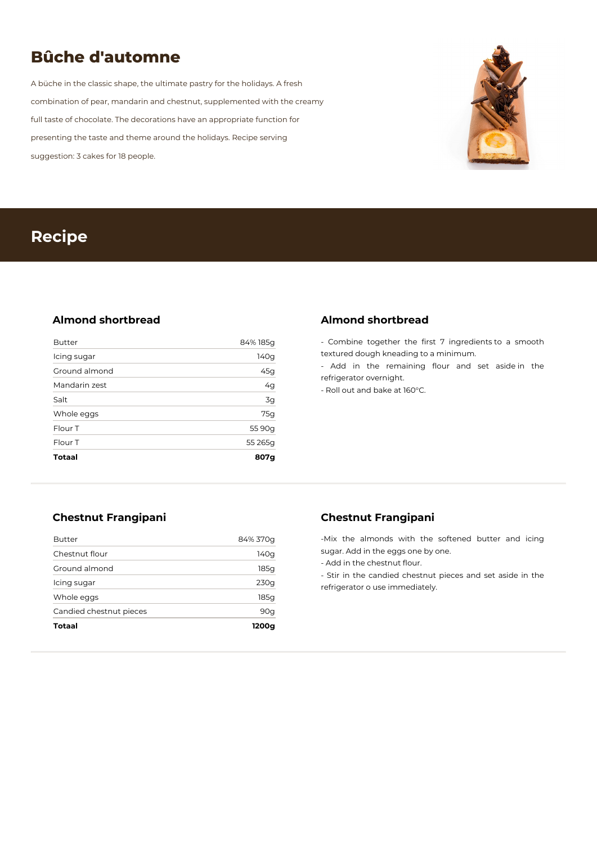# **Bûche d'automne**

A büche in the classic shape, the ultimate pastry for the holidays. A fresh combination of pear, mandarin and chestnut, supplemented with the creamy full taste of chocolate. The decorations have an appropriate function for presenting the taste and theme around the holidays. Recipe serving suggestion: 3 cakes for 18 people.



## **Recipe**

## **Almond shortbread**

| <b>Totaal</b> | 807g     |
|---------------|----------|
| Flour T       | 55 265g  |
| Flour T       | 55 90g   |
| Whole eggs    | 75g      |
| Salt          | 3g       |
| Mandarin zest | 4g       |
| Ground almond | 45g      |
| Icing sugar   | 140g     |
| <b>Butter</b> | 84% 185g |

## **Almond shortbread**

- Combine together the first 7 ingredients to a smooth textured dough kneading to a minimum.

- Add in the remaining flour and set aside in the refrigerator overnight.

- Roll out and bake at 160°C.

## **Chestnut Frangipani**

| Totaal                  | 1200g    |
|-------------------------|----------|
| Candied chestnut pieces | 90q      |
| Whole eggs              | 185g     |
| Icing sugar             | 230g     |
| Ground almond           | 185a     |
| Chestnut flour          | 140g     |
| <b>Butter</b>           | 84% 370g |

## **Chestnut Frangipani**

-Mix the almonds with the softened butter and icing sugar. Add in the eggs one by one.

- Add in the chestnut flour.

- Stir in the candied chestnut pieces and set aside in the refrigerator o use immediately.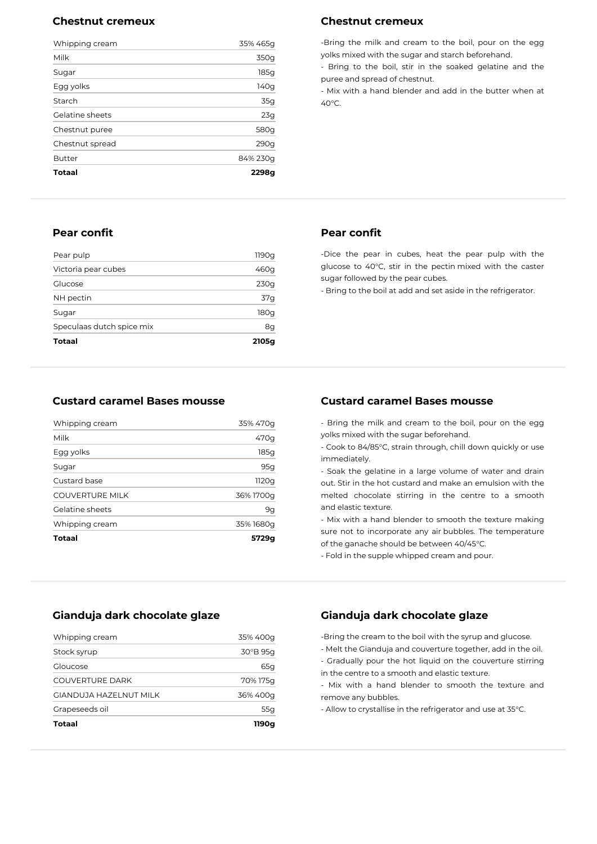#### **Chestnut cremeux**

| Whipping cream  | 35% 465g |
|-----------------|----------|
| Milk            | 350g     |
| Sugar           | 185g     |
| Egg yolks       | 140g     |
| Starch          | 35g      |
| Gelatine sheets | 23g      |
| Chestnut puree  | 580g     |
| Chestnut spread | 290q     |
| <b>Butter</b>   | 84% 230g |
| <b>Totaal</b>   | 2298a    |

#### **Pear confit**

| Totaal                    | 2105g |
|---------------------------|-------|
| Speculaas dutch spice mix | 8g    |
| Sugar                     | 180g  |
| NH pectin                 | 37q   |
| Glucose                   | 230g  |
| Victoria pear cubes       | 460g  |
| Pear pulp                 | 1190g |

## **Custard caramel Bases mousse**

| Totaal                 | 5729g     |
|------------------------|-----------|
| Whipping cream         | 35% 1680g |
| Gelatine sheets        | 9g        |
| <b>COUVERTURE MILK</b> | 36% 1700g |
| Custard base           | 1120g     |
| Sugar                  | 95g       |
| Egg yolks              | 185g      |
| Milk                   | 470g      |
| Whipping cream         | 35% 470g  |

#### **Gianduja dark chocolate glaze**

| Totaal                  | 1190a      |
|-------------------------|------------|
| Grapeseeds oil          | 55g        |
| GIANDUJA HAZFI NUT MILK | 36% 400g   |
| COUVERTURE DARK         | 70% 175g   |
| Gloucose                | 65q        |
| Stock syrup             | $30°B$ 95g |
| Whipping cream          | 35% 400g   |

#### **Chestnut cremeux**

-Bring the milk and cream to the boil, pour on the egg yolks mixed with the sugar and starch beforehand.

- Bring to the boil, stir in the soaked gelatine and the puree and spread of chestnut.

- Mix with a hand blender and add in the butter when at  $40^{\circ}$ C

#### **Pear confit**

-Dice the pear in cubes, heat the pear pulp with the glucose to 40°C, stir in the pectin mixed with the caster sugar followed by the pear cubes.

- Bring to the boil at add and set aside in the refrigerator.

## **Custard caramel Bases mousse**

- Bring the milk and cream to the boil, pour on the egg yolks mixed with the sugar beforehand.

- Cook to 84/85°C, strain through, chill down quickly or use immediately.

- Soak the gelatine in a large volume of water and drain out. Stir in the hot custard and make an emulsion with the melted chocolate stirring in the centre to a smooth and elastic texture.

- Mix with a hand blender to smooth the texture making sure not to incorporate any air bubbles. The temperature of the ganache should be between 40/45°C.

- Fold in the supple whipped cream and pour.

## **Gianduja dark chocolate glaze**

-Bring the cream to the boil with the syrup and glucose.

- Melt the Gianduja and couverture together, add in the oil.

- Gradually pour the hot liquid on the couverture stirring in the centre to a smooth and elastic texture.

- Mix with a hand blender to smooth the texture and remove any bubbles.

- Allow to crystallise in the refrigerator and use at 35°C.